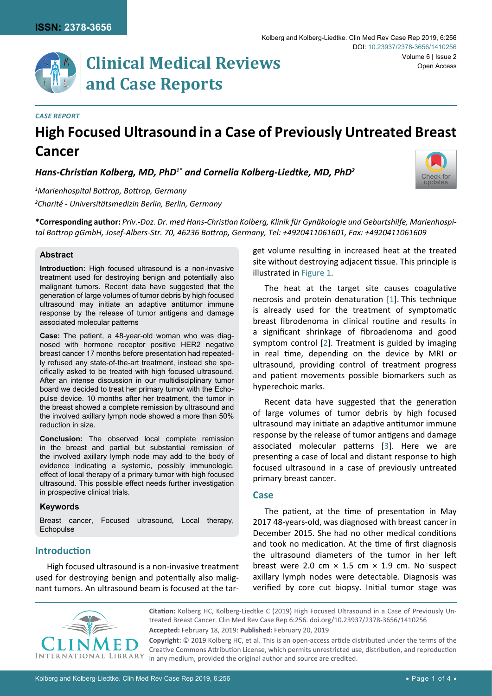

#### *Case Report*

# **High Focused Ultrasound in a Case of Previously Untreated Breast Cancer**

*Hans-Christian Kolberg, MD, PhD1\* and Cornelia Kolberg-Liedtke, MD, PhD<sup>2</sup>*



*1 Marienhospital Bottrop, Bottrop, Germany 2 Charité - Universitätsmedizin Berlin, Berlin, Germany*

**\*Corresponding author:** *Priv.-Doz. Dr. med Hans-Christian Kolberg, Klinik für Gynäkologie und Geburtshilfe, Marienhospital Bottrop gGmbH, Josef-Albers-Str. 70, 46236 Bottrop, Germany, Tel: +4920411061601, Fax: +4920411061609* 

#### **Abstract**

**Introduction:** High focused ultrasound is a non-invasive treatment used for destroying benign and potentially also malignant tumors. Recent data have suggested that the generation of large volumes of tumor debris by high focused ultrasound may initiate an adaptive antitumor immune response by the release of tumor antigens and damage associated molecular patterns

**Case:** The patient, a 48-year-old woman who was diagnosed with hormone receptor positive HER2 negative breast cancer 17 months before presentation had repeatedly refused any state-of-the-art treatment, instead she specifically asked to be treated with high focused ultrasound. After an intense discussion in our multidisciplinary tumor board we decided to treat her primary tumor with the Echopulse device. 10 months after her treatment, the tumor in the breast showed a complete remission by ultrasound and the involved axillary lymph node showed a more than 50% reduction in size.

**Conclusion:** The observed local complete remission in the breast and partial but substantial remission of the involved axillary lymph node may add to the body of evidence indicating a systemic, possibly immunologic, effect of local therapy of a primary tumor with high focused ultrasound. This possible effect needs further investigation in prospective clinical trials.

#### **Keywords**

Breast cancer, Focused ultrasound, Local therapy, Echopulse

## **Introduction**

High focused ultrasound is a non-invasive treatment used for destroying benign and potentially also malignant tumors. An ultrasound beam is focused at the target volume resulting in increased heat at the treated site without destroying adjacent tissue. This principle is illustrated in [Figure 1.](#page-1-0)

The heat at the target site causes coagulative necrosis and protein denaturation [[1](#page-3-0)]. This technique is already used for the treatment of symptomatic breast fibrodenoma in clinical routine and results in a significant shrinkage of fibroadenoma and good symptom control [[2](#page-3-1)]. Treatment is guided by imaging in real time, depending on the device by MRI or ultrasound, providing control of treatment progress and patient movements possible biomarkers such as hyperechoic marks.

Recent data have suggested that the generation of large volumes of tumor debris by high focused ultrasound may initiate an adaptive antitumor immune response by the release of tumor antigens and damage associated molecular patterns [[3](#page-3-2)]. Here we are presenting a case of local and distant response to high focused ultrasound in a case of previously untreated primary breast cancer.

#### **Case**

The patient, at the time of presentation in May 2017 48-years-old, was diagnosed with breast cancer in December 2015. She had no other medical conditions and took no medication. At the time of first diagnosis the ultrasound diameters of the tumor in her left breast were 2.0 cm  $\times$  1.5 cm  $\times$  1.9 cm. No suspect axillary lymph nodes were detectable. Diagnosis was verified by core cut biopsy. Initial tumor stage was



**Accepted:** February 18, 2019: **Published:** February 20, 2019 **Citation:** Kolberg HC, Kolberg-Liedtke C (2019) High Focused Ultrasound in a Case of Previously Untreated Breast Cancer. Clin Med Rev Case Rep 6:256. [doi.org/10.23937/2378-3656/1410256](https://doi.org/10.23937/2378-3656/1410256)

**Copyright:** © 2019 Kolberg HC, et al. This is an open-access article distributed under the terms of the Creative Commons Attribution License, which permits unrestricted use, distribution, and reproduction in any medium, provided the original author and source are credited.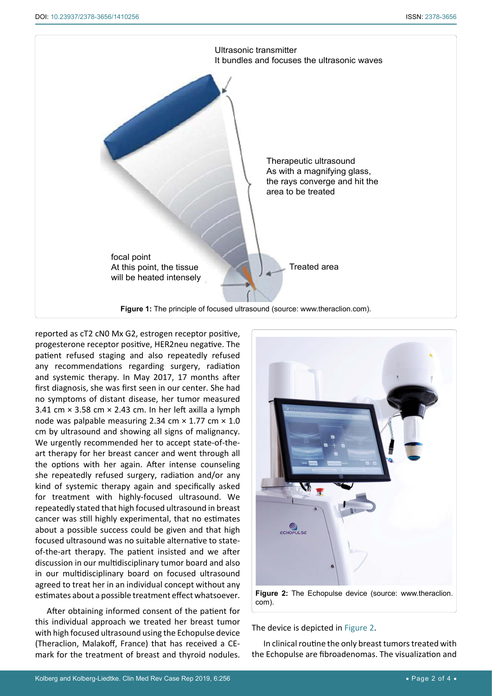<span id="page-1-0"></span>

reported as cT2 cN0 Mx G2, estrogen receptor positive, progesterone receptor positive, HER2neu negative. The patient refused staging and also repeatedly refused any recommendations regarding surgery, radiation and systemic therapy. In May 2017, 17 months after first diagnosis, she was first seen in our center. She had no symptoms of distant disease, her tumor measured 3.41 cm  $\times$  3.58 cm  $\times$  2.43 cm. In her left axilla a lymph node was palpable measuring 2.34 cm  $\times$  1.77 cm  $\times$  1.0 cm by ultrasound and showing all signs of malignancy. We urgently recommended her to accept state-of-theart therapy for her breast cancer and went through all the options with her again. After intense counseling she repeatedly refused surgery, radiation and/or any kind of systemic therapy again and specifically asked for treatment with highly-focused ultrasound. We repeatedly stated that high focused ultrasound in breast cancer was still highly experimental, that no estimates about a possible success could be given and that high focused ultrasound was no suitable alternative to stateof-the-art therapy. The patient insisted and we after discussion in our multidisciplinary tumor board and also in our multidisciplinary board on focused ultrasound agreed to treat her in an individual concept without any estimates about a possible treatment effect whatsoever.

After obtaining informed consent of the patient for this individual approach we treated her breast tumor with high focused ultrasound using the Echopulse device (Theraclion, Malakoff, France) that has received a CEmark for the treatment of breast and thyroid nodules.

<span id="page-1-1"></span>

The device is depicted in [Figure 2.](#page-1-1) In clinical routine the only breast tumors treated with

the Echopulse are fibroadenomas. The visualization and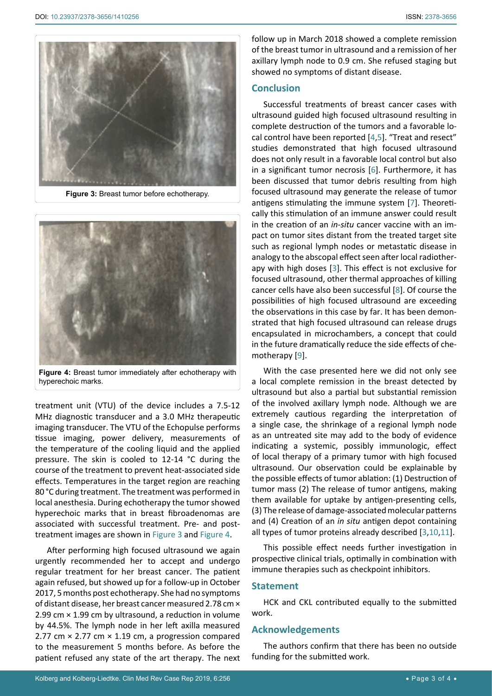<span id="page-2-0"></span>

**Figure 3:** Breast tumor before echotherapy.

<span id="page-2-1"></span>

**Figure 4:** Breast tumor immediately after echotherapy with hyperechoic marks.

treatment unit (VTU) of the device includes a 7.5-12 MHz diagnostic transducer and a 3.0 MHz therapeutic imaging transducer. The VTU of the Echopulse performs tissue imaging, power delivery, measurements of the temperature of the cooling liquid and the applied pressure. The skin is cooled to 12-14 °C during the course of the treatment to prevent heat-associated side effects. Temperatures in the target region are reaching 80 °C during treatment. The treatment was performed in local anesthesia. During echotherapy the tumor showed hyperechoic marks that in breast fibroadenomas are associated with successful treatment. Pre- and posttreatment images are shown in [Figure 3](#page-2-0) and [Figure 4](#page-2-1).

After performing high focused ultrasound we again urgently recommended her to accept and undergo regular treatment for her breast cancer. The patient again refused, but showed up for a follow-up in October 2017, 5 months post echotherapy. She had no symptoms of distant disease, her breast cancer measured 2.78 cm × 2.99 cm × 1.99 cm by ultrasound, a reduction in volume by 44.5%. The lymph node in her left axilla measured 2.77 cm × 2.77 cm × 1.19 cm, a progression compared to the measurement 5 months before. As before the patient refused any state of the art therapy. The next follow up in March 2018 showed a complete remission of the breast tumor in ultrasound and a remission of her axillary lymph node to 0.9 cm. She refused staging but showed no symptoms of distant disease.

### **Conclusion**

Successful treatments of breast cancer cases with ultrasound guided high focused ultrasound resulting in complete destruction of the tumors and a favorable local control have been reported [[4,](#page-3-3)[5](#page-3-4)]. "Treat and resect" studies demonstrated that high focused ultrasound does not only result in a favorable local control but also in a significant tumor necrosis [[6](#page-3-5)]. Furthermore, it has been discussed that tumor debris resulting from high focused ultrasound may generate the release of tumor antigens stimulating the immune system [[7](#page-3-6)]. Theoretically this stimulation of an immune answer could result in the creation of an *in-situ* cancer vaccine with an impact on tumor sites distant from the treated target site such as regional lymph nodes or metastatic disease in analogy to the abscopal effect seen after local radiotherapy with high doses [[3](#page-3-2)]. This effect is not exclusive for focused ultrasound, other thermal approaches of killing cancer cells have also been successful [[8](#page-3-7)]. Of course the possibilities of high focused ultrasound are exceeding the observations in this case by far. It has been demonstrated that high focused ultrasound can release drugs encapsulated in microchambers, a concept that could in the future dramatically reduce the side effects of chemotherapy [[9\]](#page-3-8).

With the case presented here we did not only see a local complete remission in the breast detected by ultrasound but also a partial but substantial remission of the involved axillary lymph node. Although we are extremely cautious regarding the interpretation of a single case, the shrinkage of a regional lymph node as an untreated site may add to the body of evidence indicating a systemic, possibly immunologic, effect of local therapy of a primary tumor with high focused ultrasound. Our observation could be explainable by the possible effects of tumor ablation: (1) Destruction of tumor mass (2) The release of tumor antigens, making them available for uptake by antigen-presenting cells, (3) The release of damage-associated molecular patterns and (4) Creation of an *in situ* antigen depot containing all types of tumor proteins already described [[3,](#page-3-2)[10](#page-3-9)[,11](#page-3-10)].

This possible effect needs further investigation in prospective clinical trials, optimally in combination with immune therapies such as checkpoint inhibitors.

#### **Statement**

HCK and CKL contributed equally to the submitted work.

## **Acknowledgements**

The authors confirm that there has been no outside funding for the submitted work.